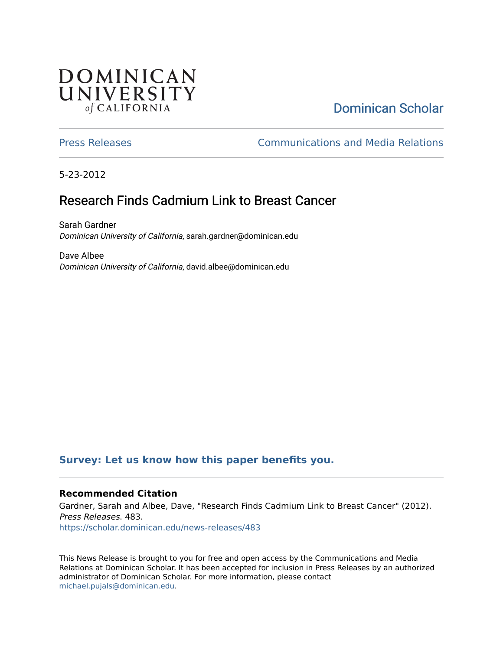## **DOMINICAN** UNIVERSITY of CALIFORNIA

# [Dominican Scholar](https://scholar.dominican.edu/)

[Press Releases](https://scholar.dominican.edu/news-releases) [Communications and Media Relations](https://scholar.dominican.edu/communications-media) 

5-23-2012

# Research Finds Cadmium Link to Breast Cancer

Sarah Gardner Dominican University of California, sarah.gardner@dominican.edu

Dave Albee Dominican University of California, david.albee@dominican.edu

### **[Survey: Let us know how this paper benefits you.](https://dominican.libwizard.com/dominican-scholar-feedback)**

#### **Recommended Citation**

Gardner, Sarah and Albee, Dave, "Research Finds Cadmium Link to Breast Cancer" (2012). Press Releases. 483. [https://scholar.dominican.edu/news-releases/483](https://scholar.dominican.edu/news-releases/483?utm_source=scholar.dominican.edu%2Fnews-releases%2F483&utm_medium=PDF&utm_campaign=PDFCoverPages)

This News Release is brought to you for free and open access by the Communications and Media Relations at Dominican Scholar. It has been accepted for inclusion in Press Releases by an authorized administrator of Dominican Scholar. For more information, please contact [michael.pujals@dominican.edu.](mailto:michael.pujals@dominican.edu)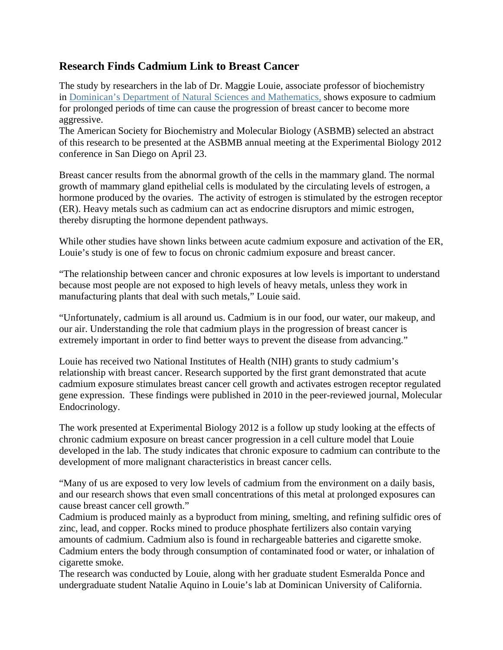#### **Research Finds Cadmium Link to Breast Cancer**

The study by researchers in the lab of Dr. Maggie Louie, associate professor of biochemistry in Dominican's Department of Natural Sciences and Mathematics, shows exposure to cadmium for prolonged periods of time can cause the progression of breast cancer to become more aggressive.

The American Society for Biochemistry and Molecular Biology (ASBMB) selected an abstract of this research to be presented at the ASBMB annual meeting at the Experimental Biology 2012 conference in San Diego on April 23.

Breast cancer results from the abnormal growth of the cells in the mammary gland. The normal growth of mammary gland epithelial cells is modulated by the circulating levels of estrogen, a hormone produced by the ovaries. The activity of estrogen is stimulated by the estrogen receptor (ER). Heavy metals such as cadmium can act as endocrine disruptors and mimic estrogen, thereby disrupting the hormone dependent pathways.

While other studies have shown links between acute cadmium exposure and activation of the ER, Louie's study is one of few to focus on chronic cadmium exposure and breast cancer.

"The relationship between cancer and chronic exposures at low levels is important to understand because most people are not exposed to high levels of heavy metals, unless they work in manufacturing plants that deal with such metals," Louie said.

"Unfortunately, cadmium is all around us. Cadmium is in our food, our water, our makeup, and our air. Understanding the role that cadmium plays in the progression of breast cancer is extremely important in order to find better ways to prevent the disease from advancing."

Louie has received two National Institutes of Health (NIH) grants to study cadmium's relationship with breast cancer. Research supported by the first grant demonstrated that acute cadmium exposure stimulates breast cancer cell growth and activates estrogen receptor regulated gene expression. These findings were published in 2010 in the peer-reviewed journal, Molecular Endocrinology.

The work presented at Experimental Biology 2012 is a follow up study looking at the effects of chronic cadmium exposure on breast cancer progression in a cell culture model that Louie developed in the lab. The study indicates that chronic exposure to cadmium can contribute to the development of more malignant characteristics in breast cancer cells.

"Many of us are exposed to very low levels of cadmium from the environment on a daily basis, and our research shows that even small concentrations of this metal at prolonged exposures can cause breast cancer cell growth."

Cadmium is produced mainly as a byproduct from mining, smelting, and refining sulfidic ores of zinc, lead, and copper. Rocks mined to produce phosphate fertilizers also contain varying amounts of cadmium. Cadmium also is found in rechargeable batteries and cigarette smoke. Cadmium enters the body through consumption of contaminated food or water, or inhalation of cigarette smoke.

The research was conducted by Louie, along with her graduate student Esmeralda Ponce and undergraduate student Natalie Aquino in Louie's lab at Dominican University of California.